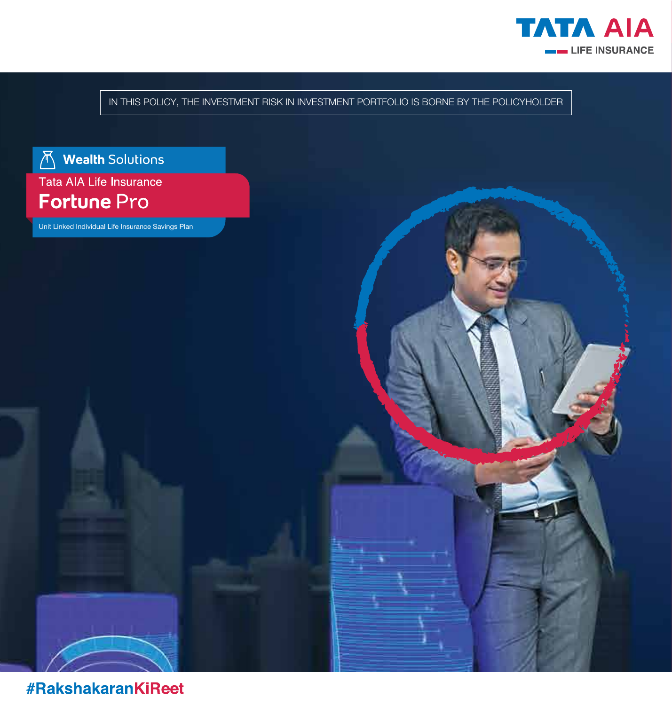

IN THIS POLICY, THE INVESTMENT RISK IN INVESTMENT PORTFOLIO IS BORNE BY THE POLICYHOLDER



Unit Linked Individual Life Insurance Savings Plan

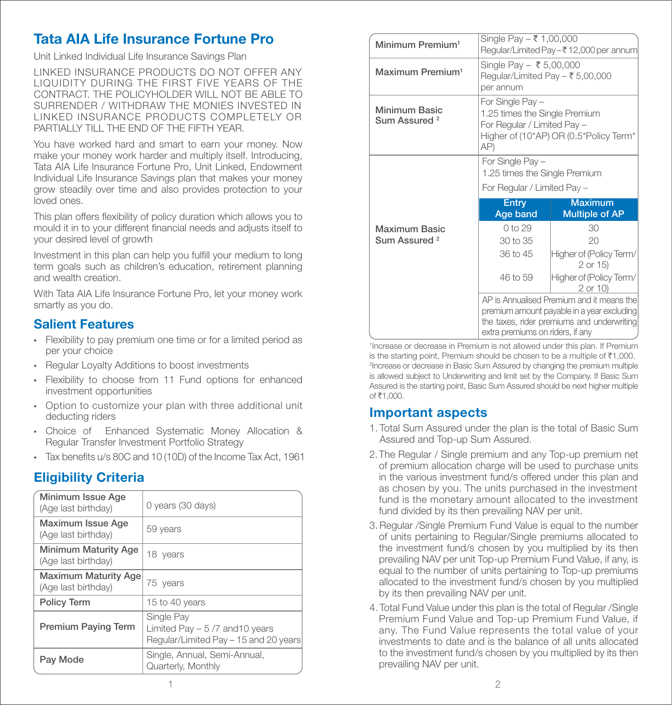# Tata AIA Life Insurance Fortune Pro

Unit Linked Individual Life Insurance Savings Plan

LINKED INSURANCE PRODUCTS DO NOT OFFER ANY LIQUIDITY DURING THE FIRST FIVE YEARS OF THE CONTRACT. THE POLICYHOLDER WILL NOT BE ABLE TO SURRENDER / WITHDRAW THE MONIES INVESTED IN LINKED INSURANCE PRODUCTS COMPLETELY OR PARTIALLY TILL THE FND OF THE FIFTH YEAR.

You have worked hard and smart to earn your money. Now make your money work harder and multiply itself. Introducing, Tata AIA Life Insurance Fortune Pro, Unit Linked, Endowment Individual Life Insurance Savings plan that makes your money grow steadily over time and also provides protection to your loved ones.

This plan offers flexibility of policy duration which allows you to mould it in to your different financial needs and adjusts itself to your desired level of growth

Investment in this plan can help you fulfill your medium to long term goals such as children's education, retirement planning and wealth creation.

With Tata AIA Life Insurance Fortune Pro, let your money work smartly as you do.

# Salient Features

- Flexibility to pay premium one time or for a limited period as per your choice
- Regular Loyalty Additions to boost investments
- Flexibility to choose from 11 Fund options for enhanced investment opportunities
- Option to customize your plan with three additional unit deducting riders
- Choice of Enhanced Systematic Money Allocation & Regular Transfer Investment Portfolio Strategy
- Tax benefits  $u/s$  80C and 10 (10D) of the Income Tax Act, 1961

# Eligibility Criteria

| Minimum Issue Age<br>(Age last birthday)           | 0 years (30 days)                                                                      |
|----------------------------------------------------|----------------------------------------------------------------------------------------|
| Maximum Issue Age<br>(Age last birthday)           | 59 years                                                                               |
| <b>Minimum Maturity Age</b><br>(Age last birthday) | 18 years                                                                               |
| <b>Maximum Maturity Age</b><br>(Age last birthday) | 75 years                                                                               |
| <b>Policy Term</b>                                 | 15 to 40 years                                                                         |
| <b>Premium Paying Term</b>                         | Single Pay<br>Limited Pay $-5/7$ and 10 years<br>Regular/Limited Pay - 15 and 20 years |
| Pay Mode                                           | Single, Annual, Semi-Annual,<br>Quarterly, Monthly                                     |

| Minimum Premium <sup>1</sup>              | Single Pay - ₹ 1,00,000<br>Regular/Limited Pay-₹12,000 per annum                                                                                                          |                                         |  |  |
|-------------------------------------------|---------------------------------------------------------------------------------------------------------------------------------------------------------------------------|-----------------------------------------|--|--|
| Maximum Premium <sup>1</sup>              | Single Pay - ₹ 5,00,000<br>Regular/Limited Pay $-$ ₹ 5,00,000<br>per annum                                                                                                |                                         |  |  |
| Minimum Basic<br>Sum Assured <sup>2</sup> | For Single Pay -<br>1.25 times the Single Premium<br>For Regular / Limited Pay -<br>Higher of (10*AP) OR (0.5*Policy Term*<br>AP)                                         |                                         |  |  |
|                                           | For Single Pay -                                                                                                                                                          | 1.25 times the Single Premium           |  |  |
|                                           |                                                                                                                                                                           | For Regular / Limited Pay -             |  |  |
|                                           | Entry<br>Age band                                                                                                                                                         | <b>Maximum</b><br><b>Multiple of AP</b> |  |  |
| Maximum Basic                             | $0$ to 29                                                                                                                                                                 | 30                                      |  |  |
| Sum Assured <sup>2</sup>                  | 30 to 35                                                                                                                                                                  | 20                                      |  |  |
|                                           | 36 to 45                                                                                                                                                                  | Higher of (Policy Term/<br>2 or 15)     |  |  |
|                                           | 46 to 59                                                                                                                                                                  | Higher of (Policy Term/<br>$2$ or $10$  |  |  |
|                                           | AP is Annualised Premium and it means the<br>premium amount payable in a year excluding<br>the taxes, rider premiums and underwriting<br>extra premiums on riders, if any |                                         |  |  |

1 Increase or decrease in Premium is not allowed under this plan. If Premium is the starting point. Premium should be chosen to be a multiple of  $\bar{\tau}1,000$ . 2 Increase or decrease in Basic Sum Assured by changing the premium multiple is allowed subject to Underwriting and limit set by the Company. If Basic Sum Assured is the starting point, Basic Sum Assured should be next higher multiple  $of \overline{z}1,000$ 

# Important aspects

- 1. Total Sum Assured under the plan is the total of Basic Sum Assured and Top-up Sum Assured.
- 2. The Regular / Single premium and any Top-up premium net of premium allocation charge will be used to purchase units in the various investment fund/s offered under this plan and as chosen by you. The units purchased in the investment fund is the monetary amount allocated to the investment fund divided by its then prevailing NAV per unit.
- 3. Regular /Single Premium Fund Value is equal to the number of units pertaining to Regular/Single premiums allocated to the investment fund/s chosen by you multiplied by its then prevailing NAV per unit Top-up Premium Fund Value, if any, is equal to the number of units pertaining to Top-up premiums allocated to the investment fund/s chosen by you multiplied by its then prevailing NAV per unit.
- 4. Total Fund Value under this plan is the total of Regular /Single Premium Fund Value and Top-up Premium Fund Value, if any. The Fund Value represents the total value of your investments to date and is the balance of all units allocated to the investment fund/s chosen by you multiplied by its then prevailing NAV per unit.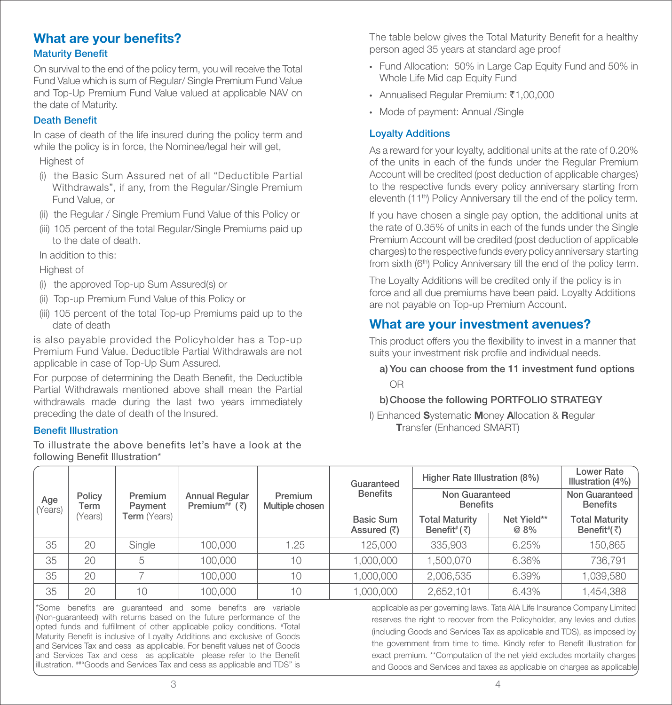# What are your benefits?

# **Maturity Benefit**

On survival to the end of the policy term, you will receive the Total Fund Value which is sum of Regular/ Single Premium Fund Value and Top-Up Premium Fund Value valued at applicable NAV on the date of Maturity.

# Death Benefit

In case of death of the life insured during the policy term and while the policy is in force, the Nominee/legal heir will get,

### Highest of

- (i) the Basic Sum Assured net of all "Deductible Partial Withdrawals", if any, from the Regular/Single Premium Fund Value, or
- (ii) the Regular / Single Premium Fund Value of this Policy or
- (iii) 105 percent of the total Regular/Single Premiums paid up to the date of death.

In addition to this:

### Highest of

- (i) the approved Top-up Sum Assured(s) or
- (ii) Top-up Premium Fund Value of this Policy or
- (iii) 105 percent of the total Top-up Premiums paid up to the date of death

is also payable provided the Policyholder has a Top-up Premium Fund Value. Deductible Partial Withdrawals are not applicable in case of Top-Up Sum Assured.

For purpose of determining the Death Benefit, the Deductible Partial Withdrawals mentioned above shall mean the Partial withdrawals made during the last two years immediately preceding the date of death of the Insured.

### **Benefit Illustration**

To illustrate the above benefits let's have a look at the following Benefit Illustration\*

The table below gives the Total Maturity Benefit for a healthy person aged 35 years at standard age proof

- Fund Allocation: 50% in Large Cap Equity Fund and 50% in Whole Life Mid cap Equity Fund
- Annualised Regular Premium: ₹1,00,000
- Mode of payment: Annual /Single

## Loyalty Additions

As a reward for your loyalty, additional units at the rate of 0.20% of the units in each of the funds under the Regular Premium Account will be credited (post deduction of applicable charges) to the respective funds every policy anniversary starting from eleventh (11<sup>th</sup>) Policy Anniversary till the end of the policy term.

If you have chosen a single pay option, the additional units at the rate of 0.35% of units in each of the funds under the Single Premium Account will be credited (post deduction of applicable charges)to the respective funds every policy anniversary starting from sixth (6<sup>th</sup>) Policy Anniversary till the end of the policy term.

The Loyalty Additions will be credited only if the policy is in force and all due premiums have been paid. Loyalty Additions are not payable on Top-up Premium Account.

# What are your investment avenues?

This product offers you the flexibility to invest in a manner that suits your investment risk profile and individual needs.

# a) You can choose from the 11 investment fund options OR

### b) Choose the following PORTFOLIO STRATEGY

I) Enhanced Systematic Money Allocation & Regular Transfer (Enhanced SMART)

|               |                |                     |                                                      |                            | Guaranteed                      | Higher Rate Illustration (8%)                               |                     | Lower Rate<br>Illustration (4%)                           |
|---------------|----------------|---------------------|------------------------------------------------------|----------------------------|---------------------------------|-------------------------------------------------------------|---------------------|-----------------------------------------------------------|
| Age<br>Years) | Policy<br>Term | Premium<br>Payment  | <b>Annual Regular</b><br>Premium <sup>##</sup> $(3)$ | Premium<br>Multiple chosen | <b>Benefits</b>                 | Non Guaranteed<br><b>Benefits</b>                           |                     | Non Guaranteed<br><b>Benefits</b>                         |
|               | (Years)        | <b>Term</b> (Years) |                                                      |                            | <b>Basic Sum</b><br>Assured (₹) | <b>Total Maturity</b><br>Benefit <sup>#</sup> ( $\bar{z}$ ) | Net Yield**<br>@ 8% | <b>Total Maturity</b><br>Benefit <sup>#</sup> $(\bar{z})$ |
| 35            | 20             | Single              | 100,000                                              | 1.25                       | 125,000                         | 335,903                                                     | 6.25%               | 150,865                                                   |
| 35            | 20             | 5                   | 100,000                                              | 10                         | 1,000,000                       | 1.500.070                                                   | 6.36%               | 736,791                                                   |
| 35            | 20             |                     | 100,000                                              | 10                         | 1,000,000                       | 2,006,535                                                   | 6.39%               | 1,039,580                                                 |
| 35            | 20             | 10                  | 100,000                                              | 10                         | 1,000,000                       | 2,652,101                                                   | 6.43%               | 1,454,388                                                 |

\*Some benefits are quaranteed and some benefits are variable (Non-guaranteed) with returns based on the future performance of the opted funds and fulfillment of other applicable policy conditions. #Total Maturity Benefit is inclusive of Loyalty Additions and exclusive of Goods and Services Tax and cess as applicable. For benefit values net of Goods and Services Tax and cess as applicable please refer to the Benefit illustration. ##"Goods and Services Tax and cess as applicable and TDS" is

applicable as per governing laws. Tata AIA Life Insurance Company Limited reserves the right to recover from the Policyholder, any levies and duties (including Goods and Services Tax as applicable and TDS), as imposed by the government from time to time. Kindly refer to Benefit illustration for exact premium. \*\*Computation of the net yield excludes mortality charges and Goods and Services and taxes as applicable on charges as applicable.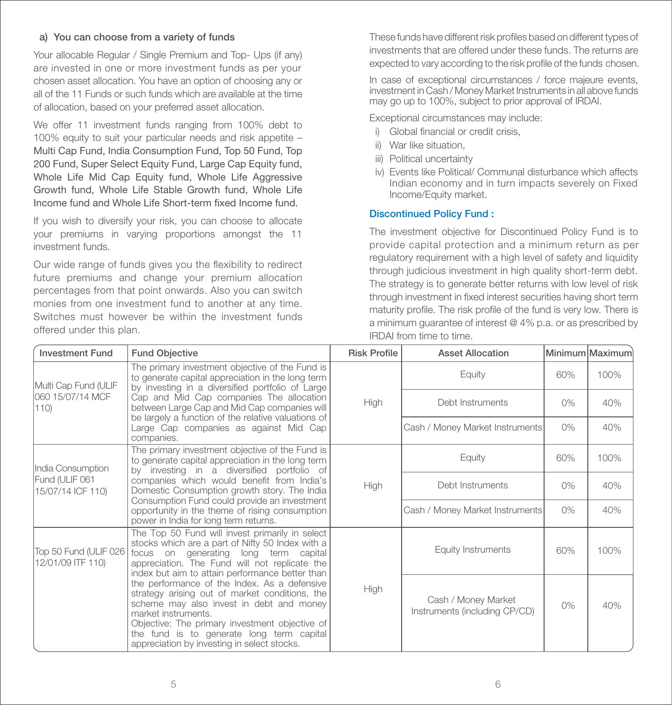### a) You can choose from a variety of funds

Your allocable Regular / Single Premium and Top- Ups (if any) are invested in one or more investment funds as per your chosen asset allocation. You have an option of choosing any or all of the 11 Funds or such funds which are available at the time of allocation, based on your preferred asset allocation.

We offer 11 investment funds ranging from 100% debt to 100% equity to suit your particular needs and risk appetite – Multi Cap Fund, India Consumption Fund, Top 50 Fund, Top 200 Fund, Super Select Equity Fund, Large Cap Equity fund, Whole Life Mid Cap Equity fund, Whole Life Aggressive Growth fund, Whole Life Stable Growth fund, Whole Life Income fund and Whole Life Short-term fixed Income fund.

If you wish to diversify your risk, you can choose to allocate your premiums in varying proportions amongst the 11 investment funds.

Our wide range of funds gives you the flexibility to redirect future premiums and change your premium allocation percentages from that point onwards. Also you can switch monies from one investment fund to another at any time. Switches must however be within the investment funds offered under this plan.

These funds have different risk profiles based on different types of investments that are offered under these funds. The returns are expected to vary according to the risk profile of the funds chosen.

In case of exceptional circumstances / force majeure events, investment in Cash / Money Market Instruments in all above funds may go up to 100%, subject to prior approval of IRDAI.

Exceptional circumstances may include:

- i) Global financial or credit crisis.
- ii) War like situation,
- iii) Political uncertainty
- iv) Events like Political/ Communal disturbance which affects Indian economy and in turn impacts severely on Fixed Income/Equity market.

### Discontinued Policy Fund :

The investment objective for Discontinued Policy Fund is to provide capital protection and a minimum return as per regulatory requirement with a high level of safety and liquidity through judicious investment in high quality short-term debt. The strategy is to generate better returns with low level of risk through investment in fixed interest securities having short term maturity profile. The risk profile of the fund is very low. There is a minimum guarantee of interest @ 4% p.a. or as prescribed by IRDAI from time to time.

| <b>Investment Fund</b>                     | <b>Fund Objective</b>                                                                                                                                                                                                                                                                                           | <b>Risk Profile</b> | <b>Asset Allocation</b>                              |       | Minimum Maximum |
|--------------------------------------------|-----------------------------------------------------------------------------------------------------------------------------------------------------------------------------------------------------------------------------------------------------------------------------------------------------------------|---------------------|------------------------------------------------------|-------|-----------------|
| Multi Cap Fund (ULIF                       | The primary investment objective of the Fund is<br>to generate capital appreciation in the long term<br>by investing in a diversified portfolio of Large                                                                                                                                                        |                     | Equity                                               | 60%   | 100%            |
| 060 15/07/14 MCF<br>(110)                  | Cap and Mid Cap companies The allocation<br>between Large Cap and Mid Cap companies will<br>be largely a function of the relative valuations of                                                                                                                                                                 | <b>High</b>         | Debt Instruments                                     | $0\%$ | 40%             |
|                                            | Large Cap companies as against Mid Cap<br>companies.                                                                                                                                                                                                                                                            |                     | Cash / Money Market Instruments                      | $0\%$ | 40%             |
| India Consumption                          | The primary investment objective of the Fund is<br>to generate capital appreciation in the long term<br>by investing in a diversified portfolio of                                                                                                                                                              |                     | Equity                                               | 60%   | 100%            |
| Fund (ULIF 061<br>15/07/14 ICF 110)        | companies which would benefit from India's<br>Domestic Consumption growth story. The India<br>Consumption Fund could provide an investment                                                                                                                                                                      | <b>High</b>         | Debt Instruments                                     | $0\%$ | 40%             |
|                                            | opportunity in the theme of rising consumption<br>power in India for long term returns.                                                                                                                                                                                                                         |                     | Cash / Money Market Instruments                      | $0\%$ | 40%             |
| Top 50 Fund (ULIF 026<br>12/01/09 ITF 110) | The Top 50 Fund will invest primarily in select<br>stocks which are a part of Nifty 50 Index with a<br>focus on generating long term capital<br>appreciation. The Fund will not replicate the<br>index but aim to attain performance better than                                                                |                     | <b>Equity Instruments</b>                            | 60%   | 100%            |
|                                            | the performance of the Index. As a defensive<br>strategy arising out of market conditions, the<br>scheme may also invest in debt and money<br>market instruments.<br>Objective: The primary investment objective of<br>the fund is to generate long term capital<br>appreciation by investing in select stocks. | <b>High</b>         | Cash / Money Market<br>Instruments (including CP/CD) | 0%    | 40%             |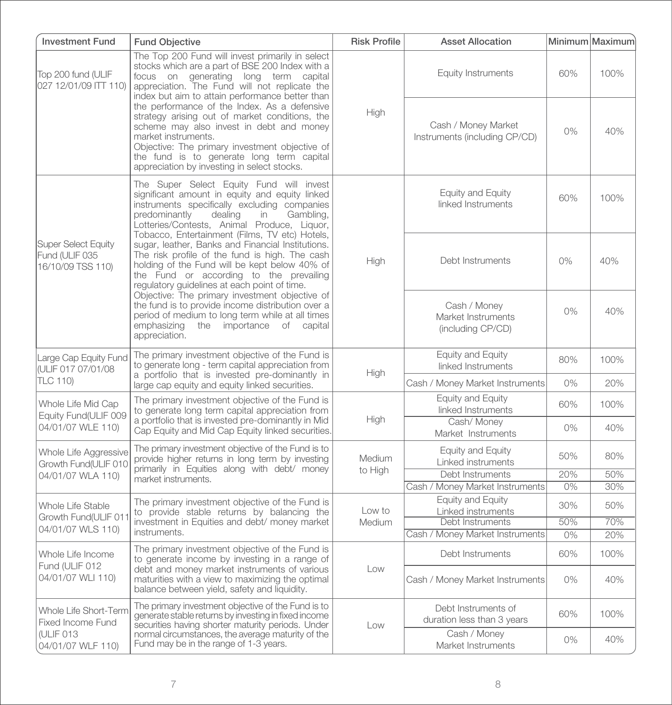| <b>Investment Fund</b>                                                                                                                                                                                               | <b>Fund Objective</b>                                                                                                                                                                                                                                                                                           | <b>Risk Profile</b> | <b>Asset Allocation</b>                                 |       | Minimum Maximum |
|----------------------------------------------------------------------------------------------------------------------------------------------------------------------------------------------------------------------|-----------------------------------------------------------------------------------------------------------------------------------------------------------------------------------------------------------------------------------------------------------------------------------------------------------------|---------------------|---------------------------------------------------------|-------|-----------------|
| Top 200 fund (ULIF<br>027 12/01/09 ITT 110)                                                                                                                                                                          | The Top 200 Fund will invest primarily in select<br>stocks which are a part of BSE 200 Index with a<br>focus on generating long term capital<br>appreciation. The Fund will not replicate the<br>index but aim to attain performance better than                                                                |                     | <b>Equity Instruments</b>                               | 60%   | 100%            |
|                                                                                                                                                                                                                      | the performance of the Index. As a defensive<br>strategy arising out of market conditions, the<br>scheme may also invest in debt and money<br>market instruments.<br>Objective: The primary investment objective of<br>the fund is to generate long term capital<br>appreciation by investing in select stocks. | High                | Cash / Money Market<br>Instruments (including CP/CD)    | $0\%$ | 40%             |
|                                                                                                                                                                                                                      | The Super Select Equity Fund will invest<br>significant amount in equity and equity linked<br>instruments specifically excluding companies<br>Gambling,<br>predominantly<br>dealing<br>in<br>Lotteries/Contests, Animal Produce, Liquor,<br>Tobacco, Entertainment (Films, TV etc) Hotels,                      |                     | Equity and Equity<br>linked Instruments                 | 60%   | 100%            |
| Super Select Equity<br>Fund (ULIF 035<br>16/10/09 TSS 110)                                                                                                                                                           | sugar, leather, Banks and Financial Institutions.<br>The risk profile of the fund is high. The cash<br>holding of the Fund will be kept below 40% of<br>the Fund or according to the prevailing<br>regulatory guidelines at each point of time.                                                                 | High                | Debt Instruments                                        | $0\%$ | 40%             |
| Objective: The primary investment objective of<br>the fund is to provide income distribution over a<br>period of medium to long term while at all times<br>emphasizing<br>the importance of capital<br>appreciation. |                                                                                                                                                                                                                                                                                                                 |                     | Cash / Money<br>Market Instruments<br>(including CP/CD) | $0\%$ | 40%             |
| Large Cap Equity Fund<br>IULIF 017 07/01/08<br><b>TLC 110)</b>                                                                                                                                                       | The primary investment objective of the Fund is<br>to generate long - term capital appreciation from<br>a portfolio that is invested pre-dominantly in                                                                                                                                                          | High                | Equity and Equity<br>linked Instruments                 | 80%   | 100%            |
|                                                                                                                                                                                                                      | large cap equity and equity linked securities.                                                                                                                                                                                                                                                                  |                     | Cash / Money Market Instruments                         | 0%    | 20%             |
| Whole Life Mid Cap<br>Equity Fund(ULIF 009                                                                                                                                                                           | The primary investment objective of the Fund is<br>to generate long term capital appreciation from                                                                                                                                                                                                              | High                | Equity and Equity<br>linked Instruments                 | 60%   | 100%            |
| 04/01/07 WLE 110)                                                                                                                                                                                                    | a portfolio that is invested pre-dominantly in Mid<br>Cap Equity and Mid Cap Equity linked securities.                                                                                                                                                                                                          |                     | Cash/Money<br>Market Instruments                        | 0%    | 40%             |
| Whole Life Aggressive<br>Growth Fund(ULIF 010                                                                                                                                                                        | The primary investment objective of the Fund is to<br>provide higher returns in long term by investing<br>primarily in Equities along with debt/ money                                                                                                                                                          | Medium              | Equity and Equity<br>Linked instruments                 | 50%   | 80%             |
| 04/01/07 WLA 110)                                                                                                                                                                                                    | market instruments.                                                                                                                                                                                                                                                                                             | to High             | Debt Instruments                                        | 20%   | 50%             |
|                                                                                                                                                                                                                      |                                                                                                                                                                                                                                                                                                                 |                     | Cash / Money Market Instruments                         | 0%    | 30%             |
| Whole Life Stable                                                                                                                                                                                                    | The primary investment objective of the Fund is<br>to provide stable returns by balancing the                                                                                                                                                                                                                   | Low to              | Equity and Equity<br>Linked instruments                 | 30%   | 50%             |
| Growth Fund(ULIF 011                                                                                                                                                                                                 | investment in Equities and debt/ money market                                                                                                                                                                                                                                                                   | Medium              | Debt Instruments                                        | 50%   | 70%             |
| 04/01/07 WLS 110)                                                                                                                                                                                                    | instruments.                                                                                                                                                                                                                                                                                                    |                     | Cash / Money Market Instruments                         | 0%    | 20%             |
| The primary investment objective of the Fund is<br>Whole Life Income<br>to generate income by investing in a range of<br>Fund (ULIF 012                                                                              |                                                                                                                                                                                                                                                                                                                 | Debt Instruments    | 60%                                                     | 100%  |                 |
| 04/01/07 WLI 110)                                                                                                                                                                                                    | debt and money market instruments of various<br>maturities with a view to maximizing the optimal<br>balance between yield, safety and liquidity.                                                                                                                                                                | Low                 | Cash / Money Market Instruments                         | 0%    | 40%             |
| Whole Life Short-Term<br>Fixed Income Fund                                                                                                                                                                           | The primary investment objective of the Fund is to<br>generate stable returns by investing in fixed income<br>securities having shorter maturity periods. Under                                                                                                                                                 |                     | Debt Instruments of<br>duration less than 3 years       | 60%   | 100%            |
| (ULIF 013<br>04/01/07 WLF 110)                                                                                                                                                                                       | normal circumstances, the average maturity of the<br>Fund may be in the range of 1-3 years.                                                                                                                                                                                                                     | Low                 | Cash / Money<br>Market Instruments                      | 0%    | 40%             |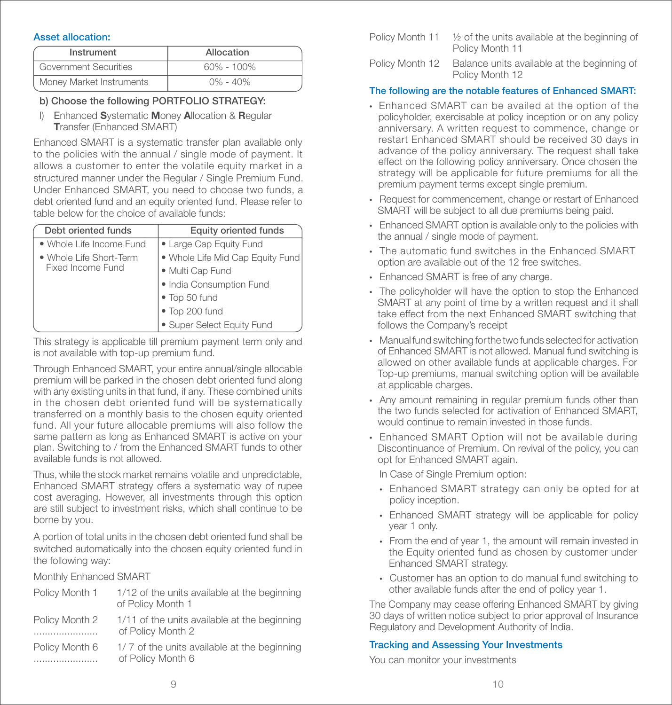### Asset allocation:

| Instrument               | Allocation   |
|--------------------------|--------------|
| Government Securities    | 60% - 100%   |
| Money Market Instruments | $0\% - 40\%$ |

# b) Choose the following PORTFOLIO STRATEGY:

 I) Enhanced Systematic Money Allocation & Regular Transfer (Enhanced SMART)

Enhanced SMART is a systematic transfer plan available only to the policies with the annual / single mode of payment. It allows a customer to enter the volatile equity market in a structured manner under the Regular / Single Premium Fund. Under Enhanced SMART, you need to choose two funds, a debt oriented fund and an equity oriented fund. Please refer to table below for the choice of available funds:

| Debt oriented funds      | <b>Equity oriented funds</b>     |
|--------------------------|----------------------------------|
| • Whole Life Income Fund | • Large Cap Equity Fund          |
| • Whole Life Short-Term  | · Whole Life Mid Cap Equity Fund |
| Fixed Income Fund        | · Multi Cap Fund                 |
|                          | · India Consumption Fund         |
|                          | • Top 50 fund                    |
|                          | · Top 200 fund                   |
|                          | · Super Select Equity Fund       |

This strategy is applicable till premium payment term only and is not available with top-up premium fund.

Through Enhanced SMART, your entire annual/single allocable premium will be parked in the chosen debt oriented fund along with any existing units in that fund, if any. These combined units in the chosen debt oriented fund will be systematically transferred on a monthly basis to the chosen equity oriented fund. All your future allocable premiums will also follow the same pattern as long as Enhanced SMART is active on your plan. Switching to / from the Enhanced SMART funds to other available funds is not allowed.

Thus, while the stock market remains volatile and unpredictable, Enhanced SMART strategy offers a systematic way of rupee cost averaging. However, all investments through this option are still subject to investment risks, which shall continue to be borne by you.

A portion of total units in the chosen debt oriented fund shall be switched automatically into the chosen equity oriented fund in the following way:

Monthly Enhanced SMART

| Policy Month 1 | 1/12 of the units available at the beginning<br>of Policy Month 1 |
|----------------|-------------------------------------------------------------------|
| Policy Month 2 | 1/11 of the units available at the beginning<br>of Policy Month 2 |
| Policy Month 6 | 1/7 of the units available at the beginning<br>of Policy Month 6  |

| Policy Month 11 | $\frac{1}{2}$ of the units available at the beginning of<br>Policy Month 11 |
|-----------------|-----------------------------------------------------------------------------|
| Policy Month 12 | Balance units available at the beginning of<br>Policy Month 12              |

# The following are the notable features of Enhanced SMART:

- Enhanced SMART can be availed at the option of the policyholder, exercisable at policy inception or on any policy anniversary. A written request to commence, change or restart Enhanced SMART should be received 30 days in advance of the policy anniversary. The request shall take effect on the following policy anniversary. Once chosen the strategy will be applicable for future premiums for all the premium payment terms except single premium.
- Request for commencement, change or restart of Enhanced SMART will be subject to all due premiums being paid.
- Enhanced SMART option is available only to the policies with the annual / single mode of payment.
- The automatic fund switches in the Enhanced SMART option are available out of the 12 free switches.
- Enhanced SMART is free of any charge.
- The policyholder will have the option to stop the Enhanced SMART at any point of time by a written request and it shall take effect from the next Enhanced SMART switching that follows the Company's receipt
- Manualfund switching forthe two funds selected for activation of Enhanced SMART is not allowed. Manual fund switching is allowed on other available funds at applicable charges. For Top-up premiums, manual switching option will be available at applicable charges.
- Any amount remaining in regular premium funds other than the two funds selected for activation of Enhanced SMART, would continue to remain invested in those funds.
- Enhanced SMART Option will not be available during Discontinuance of Premium. On revival of the policy, you can opt for Enhanced SMART again.

In Case of Single Premium option:

- Enhanced SMART strategy can only be opted for at policy inception.
- Enhanced SMART strategy will be applicable for policy year 1 only.
- From the end of year 1, the amount will remain invested in the Equity oriented fund as chosen by customer under Enhanced SMART strategy.
- Customer has an option to do manual fund switching to other available funds after the end of policy year 1.

The Company may cease offering Enhanced SMART by giving 30 days of written notice subject to prior approval of Insurance Regulatory and Development Authority of India.

# Tracking and Assessing Your Investments

You can monitor your investments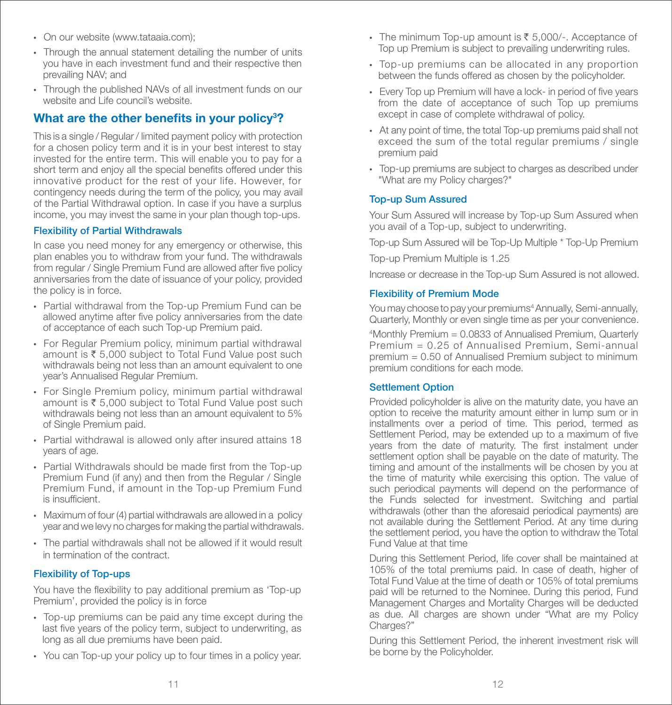- On our website (www.tataaia.com);
- Through the annual statement detailing the number of units you have in each investment fund and their respective then prevailing NAV; and
- Through the published NAVs of all investment funds on our website and Life council's website.

# What are the other benefits in your policy<sup>3</sup>?

This is a single / Regular / limited payment policy with protection for a chosen policy term and it is in your best interest to stay invested for the entire term. This will enable you to pay for a short term and enjoy all the special benefits offered under this innovative product for the rest of your life. However, for contingency needs during the term of the policy, you may avail of the Partial Withdrawal option. In case if you have a surplus income, you may invest the same in your plan though top-ups.

### Flexibility of Partial Withdrawals

In case you need money for any emergency or otherwise, this plan enables you to withdraw from your fund. The withdrawals from regular / Single Premium Fund are allowed after five policy anniversaries from the date of issuance of your policy, provided the policy is in force.

- Partial withdrawal from the Top-up Premium Fund can be allowed anytime after five policy anniversaries from the date of acceptance of each such Top-up Premium paid.
- For Regular Premium policy, minimum partial withdrawal amount is  $\bar{\tau}$  5,000 subject to Total Fund Value post such withdrawals being not less than an amount equivalent to one year's Annualised Regular Premium.
- For Single Premium policy, minimum partial withdrawal amount is  $\bar{\tau}$  5,000 subject to Total Fund Value post such withdrawals being not less than an amount equivalent to 5% of Single Premium paid.
- Partial withdrawal is allowed only after insured attains 18 years of age.
- Partial Withdrawals should be made first from the Top-up Premium Fund (if any) and then from the Regular / Single Premium Fund, if amount in the Top-up Premium Fund is insufficient.
- Maximum of four (4) partial withdrawals are allowed in a policy year and we levy no charges for making the partial withdrawals.
- The partial withdrawals shall not be allowed if it would result in termination of the contract.

# Flexibility of Top-ups

You have the flexibility to pay additional premium as 'Top-up Premium', provided the policy is in force

- Top-up premiums can be paid any time except during the last five years of the policy term, subject to underwriting, as long as all due premiums have been paid.
- You can Top-up your policy up to four times in a policy year.
- The minimum Top-up amount is  $\bar{\xi}$  5,000/-. Acceptance of Top up Premium is subject to prevailing underwriting rules.
- Top-up premiums can be allocated in any proportion between the funds offered as chosen by the policyholder.
- Every Top up Premium will have a lock- in period of five years from the date of acceptance of such Top up premiums except in case of complete withdrawal of policy.
- At any point of time, the total Top-up premiums paid shall not exceed the sum of the total regular premiums / single premium paid
- Top-up premiums are subject to charges as described under "What are my Policy charges?"

### Top-up Sum Assured

Your Sum Assured will increase by Top-up Sum Assured when you avail of a Top-up, subject to underwriting.

Top-up Sum Assured will be Top-Up Multiple \* Top-Up Premium

Top-up Premium Multiple is 1.25

Increase or decrease in the Top-up Sum Assured is not allowed.

### Flexibility of Premium Mode

You may choose to pay your premiums<sup>4</sup> Annually, Semi-annually, Quarterly, Monthly or even single time as per your convenience.

4 Monthly Premium = 0.0833 of Annualised Premium, Quarterly Premium = 0.25 of Annualised Premium, Semi-annual premium = 0.50 of Annualised Premium subject to minimum premium conditions for each mode.

### Settlement Option

Provided policyholder is alive on the maturity date, you have an option to receive the maturity amount either in lump sum or in installments over a period of time. This period, termed as Settlement Period, may be extended up to a maximum of five years from the date of maturity. The first instalment under settlement option shall be payable on the date of maturity. The timing and amount of the installments will be chosen by you at the time of maturity while exercising this option. The value of such periodical payments will depend on the performance of the Funds selected for investment. Switching and partial withdrawals (other than the aforesaid periodical payments) are not available during the Settlement Period. At any time during the settlement period, you have the option to withdraw the Total Fund Value at that time

During this Settlement Period, life cover shall be maintained at 105% of the total premiums paid. In case of death, higher of Total Fund Value at the time of death or 105% of total premiums paid will be returned to the Nominee. During this period, Fund Management Charges and Mortality Charges will be deducted as due. All charges are shown under "What are my Policy Charges?"

During this Settlement Period, the inherent investment risk will be borne by the Policyholder.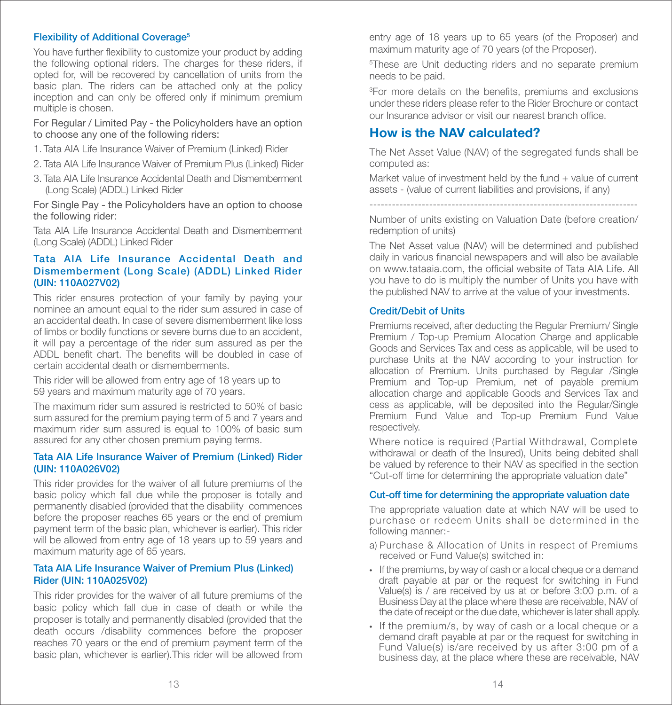### Flexibility of Additional Coverage<sup>5</sup>

You have further flexibility to customize your product by adding the following optional riders. The charges for these riders, if opted for, will be recovered by cancellation of units from the basic plan. The riders can be attached only at the policy inception and can only be offered only if minimum premium multiple is chosen.

#### For Regular / Limited Pay - the Policyholders have an option to choose any one of the following riders:

- 1. Tata AIA Life Insurance Waiver of Premium (Linked) Rider
- 2. Tata AIA Life Insurance Waiver of Premium Plus (Linked) Rider
- 3. Tata AIA Life Insurance Accidental Death and Dismemberment (Long Scale) (ADDL) Linked Rider

For Single Pay - the Policyholders have an option to choose the following rider:

Tata AIA Life Insurance Accidental Death and Dismemberment (Long Scale) (ADDL) Linked Rider

### Tata AIA Life Insurance Accidental Death and Dismemberment (Long Scale) (ADDL) Linked Rider (UIN: 110A027V02)

This rider ensures protection of your family by paying your nominee an amount equal to the rider sum assured in case of an accidental death. In case of severe dismemberment like loss of limbs or bodily functions or severe burns due to an accident, it will pay a percentage of the rider sum assured as per the ADDL benefit chart. The benefits will be doubled in case of certain accidental death or dismemberments.

This rider will be allowed from entry age of 18 years up to 59 years and maximum maturity age of 70 years.

The maximum rider sum assured is restricted to 50% of basic sum assured for the premium paying term of 5 and 7 years and maximum rider sum assured is equal to 100% of basic sum assured for any other chosen premium paying terms.

#### Tata AIA Life Insurance Waiver of Premium (Linked) Rider (UIN: 110A026V02)

This rider provides for the waiver of all future premiums of the basic policy which fall due while the proposer is totally and permanently disabled (provided that the disability commences before the proposer reaches 65 years or the end of premium payment term of the basic plan, whichever is earlier). This rider will be allowed from entry age of 18 years up to 59 years and maximum maturity age of 65 years.

### Tata AIA Life Insurance Waiver of Premium Plus (Linked) Rider (UIN: 110A025V02)

This rider provides for the waiver of all future premiums of the basic policy which fall due in case of death or while the proposer is totally and permanently disabled (provided that the death occurs /disability commences before the proposer reaches 70 years or the end of premium payment term of the basic plan, whichever is earlier).This rider will be allowed from

entry age of 18 years up to 65 years (of the Proposer) and maximum maturity age of 70 years (of the Proposer).

5 These are Unit deducting riders and no separate premium needs to be paid.

<sup>3</sup>For more details on the benefits, premiums and exclusions under these riders please refer to the Rider Brochure or contact our Insurance advisor or visit our nearest branch office.

# How is the NAV calculated?

The Net Asset Value (NAV) of the segregated funds shall be computed as:

Market value of investment held by the fund  $+$  value of current assets - (value of current liabilities and provisions, if any)

------------------------------------------------------------------------

Number of units existing on Valuation Date (before creation/ redemption of units)

The Net Asset value (NAV) will be determined and published daily in various financial newspapers and will also be available on www.tataaia.com, the official website of Tata AIA Life. All you have to do is multiply the number of Units you have with the published NAV to arrive at the value of your investments.

### Credit/Debit of Units

Premiums received, after deducting the Regular Premium/ Single Premium / Top-up Premium Allocation Charge and applicable Goods and Services Tax and cess as applicable, will be used to purchase Units at the NAV according to your instruction for allocation of Premium. Units purchased by Regular /Single Premium and Top-up Premium, net of payable premium allocation charge and applicable Goods and Services Tax and cess as applicable, will be deposited into the Regular/Single Premium Fund Value and Top-up Premium Fund Value respectively.

Where notice is required (Partial Withdrawal, Complete withdrawal or death of the Insured), Units being debited shall be valued by reference to their NAV as specified in the section "Cut-off time for determining the appropriate valuation date"

### Cut-off time for determining the appropriate valuation date

The appropriate valuation date at which NAV will be used to purchase or redeem Units shall be determined in the following manner:-

- a) Purchase & Allocation of Units in respect of Premiums received or Fund Value(s) switched in:
- If the premiums, by way of cash or a local cheque or a demand draft payable at par or the request for switching in Fund Value(s) is / are received by us at or before 3:00 p.m. of a Business Day at the place where these are receivable, NAV of the date of receipt or the due date, whichever is later shall apply.
- If the premium/s, by way of cash or a local cheque or a demand draft payable at par or the request for switching in Fund Value(s) is/are received by us after 3:00 pm of a business day, at the place where these are receivable, NAV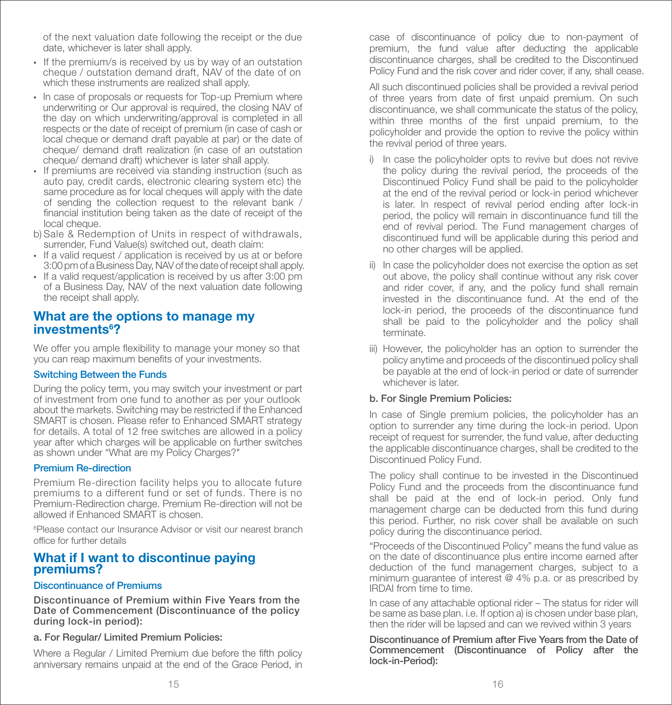of the next valuation date following the receipt or the due date, whichever is later shall apply.

- If the premium/s is received by us by way of an outstation cheque / outstation demand draft, NAV of the date of on which these instruments are realized shall apply.
- In case of proposals or requests for Top-up Premium where underwriting or Our approval is required, the closing NAV of the day on which underwriting/approval is completed in all respects or the date of receipt of premium (in case of cash or local cheque or demand draft payable at par) or the date of cheque/ demand draft realization (in case of an outstation cheque/ demand draft) whichever is later shall apply.
- If premiums are received via standing instruction (such as auto pay, credit cards, electronic clearing system etc) the same procedure as for local cheques will apply with the date of sending the collection request to the relevant bank / financial institution being taken as the date of receipt of the local cheque.
- b) Sale & Redemption of Units in respect of withdrawals, surrender, Fund Value(s) switched out, death claim:
- If a valid request / application is received by us at or before 3:00 pm of a Business Day, NAV of the date of receipt shall apply.
- If a valid request/application is received by us after 3:00 pm of a Business Day, NAV of the next valuation date following the receipt shall apply.

# What are the options to manage my investments<sup>6</sup>?

We offer you ample flexibility to manage your money so that you can reap maximum benefits of your investments.

### Switching Between the Funds

During the policy term, you may switch your investment or part of investment from one fund to another as per your outlook about the markets. Switching may be restricted if the Enhanced SMART is chosen. Please refer to Enhanced SMART strategy for details. A total of 12 free switches are allowed in a policy year after which charges will be applicable on further switches as shown under "What are my Policy Charges?"

### Premium Re-direction

Premium Re-direction facility helps you to allocate future premiums to a different fund or set of funds. There is no Premium-Redirection charge. Premium Re-direction will not be allowed if Enhanced SMART is chosen.

6 Please contact our Insurance Advisor or visit our nearest branch office for further details

# What if I want to discontinue paying premiums?

### Discontinuance of Premiums

Discontinuance of Premium within Five Years from the Date of Commencement (Discontinuance of the policy during lock-in period):

### a. For Regular/ Limited Premium Policies:

Where a Regular / Limited Premium due before the fifth policy anniversary remains unpaid at the end of the Grace Period, in case of discontinuance of policy due to non-payment of premium, the fund value after deducting the applicable discontinuance charges, shall be credited to the Discontinued Policy Fund and the risk cover and rider cover, if any, shall cease.

All such discontinued policies shall be provided a revival period of three years from date of first unpaid premium. On such discontinuance, we shall communicate the status of the policy, within three months of the first unpaid premium, to the policyholder and provide the option to revive the policy within the revival period of three years.

- i) In case the policyholder opts to revive but does not revive the policy during the revival period, the proceeds of the Discontinued Policy Fund shall be paid to the policyholder at the end of the revival period or lock-in period whichever is later. In respect of revival period ending after lock-in period, the policy will remain in discontinuance fund till the end of revival period. The Fund management charges of discontinued fund will be applicable during this period and no other charges will be applied.
- ii) In case the policyholder does not exercise the option as set out above, the policy shall continue without any risk cover and rider cover, if any, and the policy fund shall remain invested in the discontinuance fund. At the end of the lock-in period, the proceeds of the discontinuance fund shall be paid to the policyholder and the policy shall terminate.
- iii) However, the policyholder has an option to surrender the policy anytime and proceeds of the discontinued policy shall be payable at the end of lock-in period or date of surrender whichever is later.

# b. For Single Premium Policies:

In case of Single premium policies, the policyholder has an option to surrender any time during the lock-in period. Upon receipt of request for surrender, the fund value, after deducting the applicable discontinuance charges, shall be credited to the Discontinued Policy Fund.

The policy shall continue to be invested in the Discontinued Policy Fund and the proceeds from the discontinuance fund shall be paid at the end of lock-in period. Only fund management charge can be deducted from this fund during this period. Further, no risk cover shall be available on such policy during the discontinuance period.

"Proceeds of the Discontinued Policy" means the fund value as on the date of discontinuance plus entire income earned after deduction of the fund management charges, subject to a minimum guarantee of interest @ 4% p.a. or as prescribed by IRDAI from time to time.

In case of any attachable optional rider – The status for rider will be same as base plan. i.e. If option a) is chosen under base plan, then the rider will be lapsed and can we revived within 3 years

Discontinuance of Premium after Five Years from the Date of Commencement (Discontinuance of Policy after the lock-in-Period):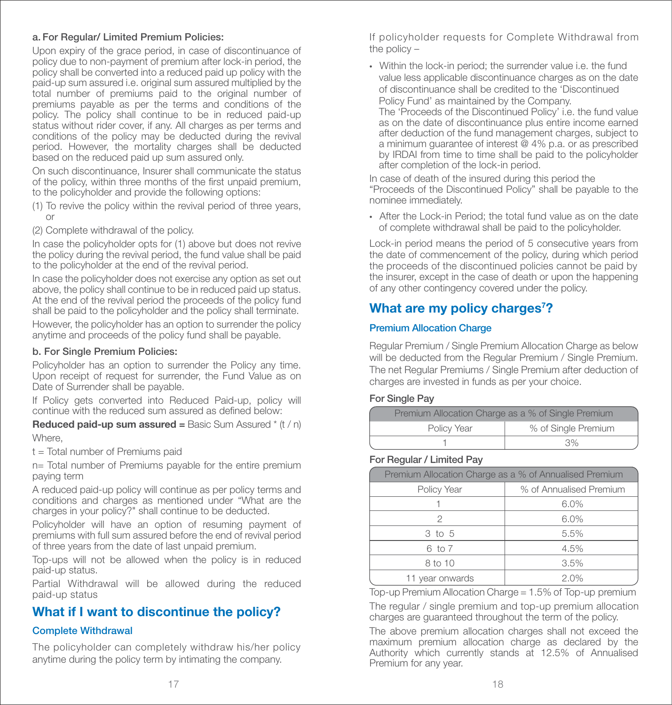### a. For Regular/ Limited Premium Policies:

Upon expiry of the grace period, in case of discontinuance of policy due to non-payment of premium after lock-in period, the policy shall be converted into a reduced paid up policy with the paid-up sum assured i.e. original sum assured multiplied by the total number of premiums paid to the original number of premiums payable as per the terms and conditions of the policy. The policy shall continue to be in reduced paid-up status without rider cover, if any. All charges as per terms and conditions of the policy may be deducted during the revival period. However, the mortality charges shall be deducted based on the reduced paid up sum assured only.

On such discontinuance, Insurer shall communicate the status of the policy, within three months of the first unpaid premium, to the policyholder and provide the following options:

- (1) To revive the policy within the revival period of three years, or
- (2) Complete withdrawal of the policy.

In case the policyholder opts for (1) above but does not revive the policy during the revival period, the fund value shall be paid to the policyholder at the end of the revival period.

In case the policyholder does not exercise any option as set out above, the policy shall continue to be in reduced paid up status. At the end of the revival period the proceeds of the policy fund shall be paid to the policyholder and the policy shall terminate.

However, the policyholder has an option to surrender the policy anytime and proceeds of the policy fund shall be payable.

### b. For Single Premium Policies:

Policyholder has an option to surrender the Policy any time. Upon receipt of request for surrender, the Fund Value as on Date of Surrender shall be payable.

If Policy gets converted into Reduced Paid-up, policy will continue with the reduced sum assured as defined below:

**Reduced paid-up sum assured = Basic Sum Assured**  $*$  **(t / n)** Where,

t = Total number of Premiums paid

n= Total number of Premiums payable for the entire premium paying term

A reduced paid-up policy will continue as per policy terms and conditions and charges as mentioned under "What are the charges in your policy?" shall continue to be deducted.

Policyholder will have an option of resuming payment of premiums with full sum assured before the end of revival period of three years from the date of last unpaid premium.

Top-ups will not be allowed when the policy is in reduced paid-up status.

Partial Withdrawal will be allowed during the reduced paid-up status

# What if I want to discontinue the policy?

### Complete Withdrawal

The policyholder can completely withdraw his/her policy anytime during the policy term by intimating the company.

If policyholder requests for Complete Withdrawal from the policy –

• Within the lock-in period; the surrender value i.e. the fund value less applicable discontinuance charges as on the date of discontinuance shall be credited to the 'Discontinued Policy Fund' as maintained by the Company. The 'Proceeds of the Discontinued Policy' i.e. the fund value as on the date of discontinuance plus entire income earned after deduction of the fund management charges, subject to a minimum guarantee of interest @ 4% p.a. or as prescribed by IRDAI from time to time shall be paid to the policyholder after completion of the lock-in period.

In case of death of the insured during this period the "Proceeds of the Discontinued Policy" shall be payable to the nominee immediately.

• After the Lock-in Period: the total fund value as on the date of complete withdrawal shall be paid to the policyholder.

Lock-in period means the period of 5 consecutive years from the date of commencement of the policy, during which period the proceeds of the discontinued policies cannot be paid by the insurer, except in the case of death or upon the happening of any other contingency covered under the policy.

# What are my policy charges<sup>7</sup>?

## Premium Allocation Charge

Regular Premium / Single Premium Allocation Charge as below will be deducted from the Regular Premium / Single Premium. The net Regular Premiums / Single Premium after deduction of charges are invested in funds as per your choice.

### For Single Pay

| Premium Allocation Charge as a % of Single Premium |    |  |
|----------------------------------------------------|----|--|
| % of Single Premium<br>Policy Year                 |    |  |
|                                                    | 3% |  |

### For Regular / Limited Pay

| Premium Allocation Charge as a % of Annualised Premium |      |  |
|--------------------------------------------------------|------|--|
| % of Annualised Premium<br>Policy Year                 |      |  |
|                                                        | 6.0% |  |
| 2                                                      | 6.0% |  |
| 3 to 5                                                 | 5.5% |  |
| 6 to 7                                                 | 4.5% |  |
| 8 to 10                                                | 3.5% |  |
| 11 year onwards                                        | 2.0% |  |

Top-up Premium Allocation Charge = 1.5% of Top-up premium

The regular / single premium and top-up premium allocation charges are guaranteed throughout the term of the policy.

The above premium allocation charges shall not exceed the maximum premium allocation charge as declared by the Authority which currently stands at 12.5% of Annualised Premium for any year.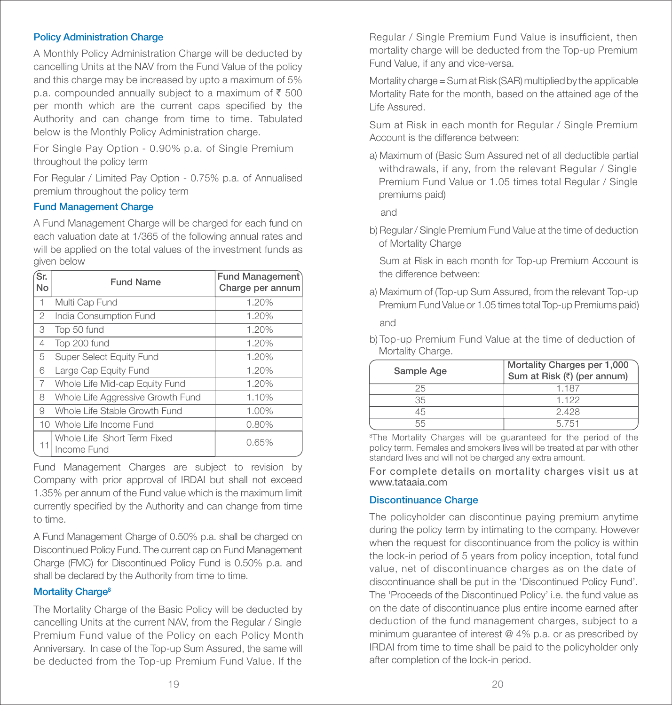### Policy Administration Charge

A Monthly Policy Administration Charge will be deducted by cancelling Units at the NAV from the Fund Value of the policy and this charge may be increased by upto a maximum of 5% p.a. compounded annually subject to a maximum of  $\bar{\xi}$  500 per month which are the current caps specified by the Authority and can change from time to time. Tabulated below is the Monthly Policy Administration charge.

For Single Pay Option - 0.90% p.a. of Single Premium throughout the policy term

For Regular / Limited Pay Option - 0.75% p.a. of Annualised premium throughout the policy term

### Fund Management Charge

A Fund Management Charge will be charged for each fund on each valuation date at 1/365 of the following annual rates and will be applied on the total values of the investment funds as given below

| Ŝr.<br>No      | <b>Fund Name</b>                           | Fund Management<br>Charge per annum |
|----------------|--------------------------------------------|-------------------------------------|
| 1              | Multi Cap Fund                             | 1.20%                               |
| $\overline{2}$ | India Consumption Fund                     | 1.20%                               |
| 3              | Top 50 fund                                | 1.20%                               |
| 4              | Top 200 fund                               | 1.20%                               |
| 5              | Super Select Equity Fund                   | 1.20%                               |
| 6              | Large Cap Equity Fund                      | 1.20%                               |
| $\overline{7}$ | Whole Life Mid-cap Equity Fund             | 1.20%                               |
| 8              | Whole Life Aggressive Growth Fund          | 1.10%                               |
| 9              | Whole Life Stable Growth Fund              | 1.00%                               |
| 10             | Whole Life Income Fund                     | 0.80%                               |
| 11             | Whole Life Short Term Fixed<br>Income Fund | 0.65%                               |

Fund Management Charges are subject to revision by Company with prior approval of IRDAI but shall not exceed 1.35% per annum of the Fund value which is the maximum limit currently specified by the Authority and can change from time to time.

A Fund Management Charge of 0.50% p.a. shall be charged on Discontinued Policy Fund. The current cap on Fund Management Charge (FMC) for Discontinued Policy Fund is 0.50% p.a. and shall be declared by the Authority from time to time.

### Mortality Charge<sup>8</sup>

The Mortality Charge of the Basic Policy will be deducted by cancelling Units at the current NAV, from the Regular / Single Premium Fund value of the Policy on each Policy Month Anniversary. In case of the Top-up Sum Assured, the same will be deducted from the Top-up Premium Fund Value. If the

Regular / Single Premium Fund Value is insufficient, then mortality charge will be deducted from the Top-up Premium Fund Value, if any and vice-versa.

Mortality charge = Sum at Risk (SAR) multiplied by the applicable Mortality Rate for the month, based on the attained age of the Life Assured.

Sum at Risk in each month for Regular / Single Premium Account is the difference between:

a) Maximum of (Basic Sum Assured net of all deductible partial withdrawals, if any, from the relevant Regular / Single Premium Fund Value or 1.05 times total Regular / Single premiums paid)

and

b) Regular/ Single Premium Fund Value at the time of deduction of Mortality Charge

 Sum at Risk in each month for Top-up Premium Account is the difference between:

a) Maximum of (Top-up Sum Assured, from the relevant Top-up Premium Fund Value or 1.05 times total Top-up Premiums paid)

and

b) Top-up Premium Fund Value at the time of deduction of Mortality Charge.

| Sample Age | Mortality Charges per 1,000<br>Sum at Risk (₹) (per annum) |
|------------|------------------------------------------------------------|
| 25         | 1.187                                                      |
| 35         | 1.122                                                      |
| 15         | 2.428                                                      |
| 55         | 5.751                                                      |

<sup>8</sup>The Mortality Charges will be quaranteed for the period of the policy term. Females and smokers lives will be treated at par with other standard lives and will not be charged any extra amount.

For complete details on mortality charges visit us at www.tataaia.com

### Discontinuance Charge

The policyholder can discontinue paying premium anytime during the policy term by intimating to the company. However when the request for discontinuance from the policy is within the lock-in period of 5 years from policy inception, total fund value, net of discontinuance charges as on the date of discontinuance shall be put in the 'Discontinued Policy Fund'. The 'Proceeds of the Discontinued Policy' i.e. the fund value as on the date of discontinuance plus entire income earned after deduction of the fund management charges, subject to a minimum guarantee of interest @ 4% p.a. or as prescribed by IRDAI from time to time shall be paid to the policyholder only after completion of the lock-in period.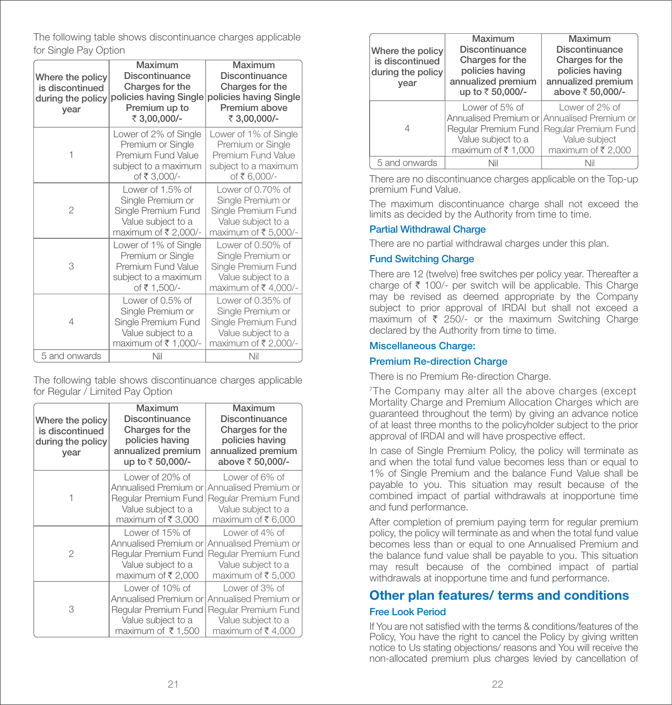The following table shows discontinuance charges applicable for Single Pay Option

| Where the policy<br>is discontinued<br>during the policy<br>year | Maximum<br><b>Discontinuance</b><br>Charges for the<br>policies having Single<br>Premium up to<br>₹ 3,00,000/- | Maximum<br><b>Discontinuance</b><br>Charges for the<br>policies having Single<br>Premium above<br>₹ 3,00,000/- |
|------------------------------------------------------------------|----------------------------------------------------------------------------------------------------------------|----------------------------------------------------------------------------------------------------------------|
| 1                                                                | Lower of 2% of Single<br>Premium or Single<br>Premium Fund Value<br>subject to a maximum<br>of ₹ 3,000/-       | Lower of 1% of Single<br>Premium or Single<br>Premium Fund Value<br>subject to a maximum<br>of ₹6,000/-        |
| $\overline{2}$                                                   | Lower of 1.5% of<br>Single Premium or<br>Single Premium Fund<br>Value subject to a<br>maximum of ₹ 2,000/-     | Lower of 0.70% of<br>Single Premium or<br>Single Premium Fund<br>Value subject to a<br>maximum of ₹ 5,000/-    |
| 3                                                                | Lower of 1% of Single<br>Premium or Single<br>Premium Fund Value<br>subject to a maximum<br>of ₹ 1,500/-       | Lower of 0.50% of<br>Single Premium or<br>Single Premium Fund<br>Value subject to a<br>maximum of ₹4,000/-     |
| 4                                                                | Lower of 0.5% of<br>Single Premium or<br>Single Premium Fund<br>Value subject to a<br>maximum of ₹1,000/-      | Lower of 0.35% of<br>Single Premium or<br>Single Premium Fund<br>Value subject to a<br>maximum of ₹ 2,000/-    |
| 5 and onwards                                                    | Nil                                                                                                            | Nil                                                                                                            |

The following table shows discontinuance charges applicable for Regular / Limited Pay Option

| Where the policy<br>is discontinued<br>during the policy<br>year | Maximum<br><b>Discontinuance</b><br>Charges for the<br>policies having<br>annualized premium<br>up to ₹ 50,000/- | Maximum<br><b>Discontinuance</b><br>Charges for the<br>policies having<br>annualized premium<br>above ₹ 50,000/- |
|------------------------------------------------------------------|------------------------------------------------------------------------------------------------------------------|------------------------------------------------------------------------------------------------------------------|
|                                                                  | Lower of 20% of<br>Annualised Premium or<br>Regular Premium Fund  <br>Value subject to a<br>maximum of ₹ 3,000   | Lower of 6% of<br>Annualised Premium or<br>Regular Premium Fund<br>Value subject to a<br>maximum of ₹6,000       |
| 2                                                                | Lower of 15% of<br>Annualised Premium or l<br>Regular Premium Fund  <br>Value subject to a<br>maximum of ₹ 2,000 | Lower of 4% of<br>Annualised Premium or<br>Regular Premium Fund<br>Value subject to a<br>maximum of ₹ 5,000      |
| 3                                                                | Lower of 10% of<br>Annualised Premium or<br>Regular Premium Fund<br>Value subject to a<br>maximum of ₹1,500      | Lower of 3% of<br>Annualised Premium or<br>Regular Premium Fund<br>Value subject to a<br>maximum of ₹4,000       |

| Where the policy<br>is discontinued<br>during the policy<br>year | Maximum<br><b>Discontinuance</b><br>Charges for the<br>policies having<br>annualized premium<br>up to ₹ 50,000/- | Maximum<br><b>Discontinuance</b><br>Charges for the<br>policies having<br>annualized premium<br>above ₹ 50,000/-                                       |
|------------------------------------------------------------------|------------------------------------------------------------------------------------------------------------------|--------------------------------------------------------------------------------------------------------------------------------------------------------|
|                                                                  | Lower of 5% of<br>Value subject to a<br>maximum of ₹1,000                                                        | Lower of $2\%$ of<br>Annualised Premium or Annualised Premium or<br>Regular Premium Fund   Regular Premium Fund<br>Value subject<br>maximum of ₹ 2,000 |
| 5 and onwards                                                    | Nil                                                                                                              | Nil                                                                                                                                                    |

There are no discontinuance charges applicable on the Top-up premium Fund Value.

The maximum discontinuance charge shall not exceed the limits as decided by the Authority from time to time.

### Partial Withdrawal Charge

There are no partial withdrawal charges under this plan.

### Fund Switching Charge

There are 12 (twelve) free switches per policy year. Thereafter a charge of  $\bar{\tau}$  100/- per switch will be applicable. This Charge may be revised as deemed appropriate by the Company subject to prior approval of IRDAI but shall not exceed a maximum of  $\bar{\xi}$  250/- or the maximum Switching Charge declared by the Authority from time to time.

### Miscellaneous Charge:

### Premium Re-direction Charge

There is no Premium Re-direction Charge.

7The Company may alter all the above charges (except Mortality Charge and Premium Allocation Charges which are guaranteed throughout the term) by giving an advance notice of at least three months to the policyholder subject to the prior approval of IRDAI and will have prospective effect.

In case of Single Premium Policy, the policy will terminate as and when the total fund value becomes less than or equal to 1% of Single Premium and the balance Fund Value shall be payable to you. This situation may result because of the combined impact of partial withdrawals at inopportune time and fund performance.

After completion of premium paying term for regular premium policy, the policy will terminate as and when the total fund value becomes less than or equal to one Annualised Premium and the balance fund value shall be payable to you. This situation may result because of the combined impact of partial withdrawals at inopportune time and fund performance.

# Other plan features/ terms and conditions

### Free Look Period

If You are not satised with the terms & conditions/features of the Policy, You have the right to cancel the Policy by giving written notice to Us stating objections/ reasons and You will receive the non-allocated premium plus charges levied by cancellation of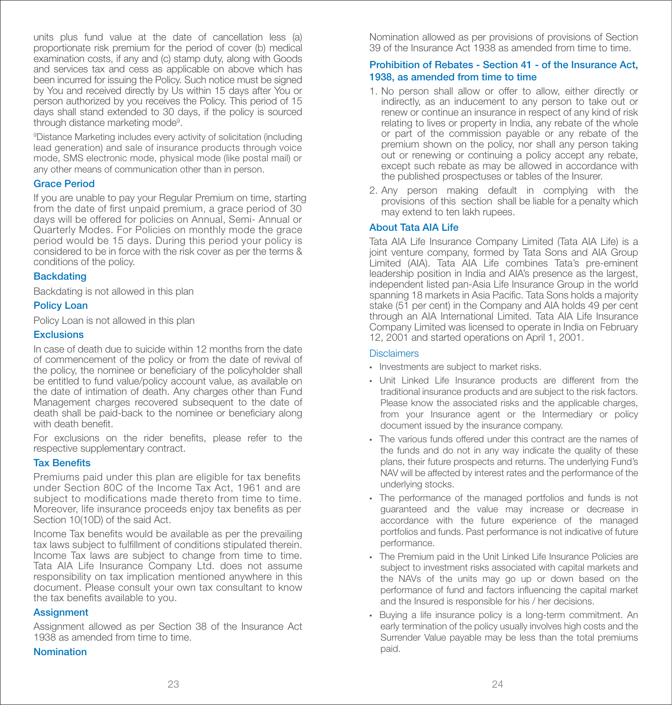units plus fund value at the date of cancellation less (a) proportionate risk premium for the period of cover (b) medical examination costs, if any and (c) stamp duty, along with Goods and services tax and cess as applicable on above which has been incurred for issuing the Policy. Such notice must be signed by You and received directly by Us within 15 days after You or person authorized by you receives the Policy. This period of 15 days shall stand extended to 30 days, if the policy is sourced through distance marketing mode<sup>9</sup>.

9 Distance Marketing includes every activity of solicitation (including lead generation) and sale of insurance products through voice mode, SMS electronic mode, physical mode (like postal mail) or any other means of communication other than in person.

#### Grace Period

If you are unable to pay your Regular Premium on time, starting from the date of first unpaid premium, a grace period of  $30<sup>7</sup>$ days will be offered for policies on Annual, Semi- Annual or Quarterly Modes. For Policies on monthly mode the grace period would be 15 days. During this period your policy is considered to be in force with the risk cover as per the terms & conditions of the policy.

### **Backdating**

Backdating is not allowed in this plan

#### Policy Loan

Policy Loan is not allowed in this plan

#### **Exclusions**

In case of death due to suicide within 12 months from the date of commencement of the policy or from the date of revival of the policy, the nominee or beneficiary of the policyholder shall be entitled to fund value/policy account value, as available on the date of intimation of death. Any charges other than Fund Management charges recovered subsequent to the date of death shall be paid-back to the nominee or beneficiary along with death benefit.

For exclusions on the rider benefits, please refer to the respective supplementary contract.

#### **Tax Benefits**

Premiums paid under this plan are eligible for tax benefits under Section 80C of the Income Tax Act, 1961 and are subject to modifications made thereto from time to time. Moreover, life insurance proceeds enjoy tax benefits as per Section 10(10D) of the said Act.

Income Tax benefits would be available as per the prevailing tax laws subject to fulfillment of conditions stipulated therein. Income Tax laws are subject to change from time to time. Tata AIA Life Insurance Company Ltd. does not assume responsibility on tax implication mentioned anywhere in this document. Please consult your own tax consultant to know the tax benefits available to you.

#### **Assignment**

Assignment allowed as per Section 38 of the Insurance Act 1938 as amended from time to time.

### Nomination

Nomination allowed as per provisions of provisions of Section 39 of the Insurance Act 1938 as amended from time to time.

### Prohibition of Rebates - Section 41 - of the Insurance Act, 1938, as amended from time to time

- 1. No person shall allow or offer to allow, either directly or indirectly, as an inducement to any person to take out or renew or continue an insurance in respect of any kind of risk relating to lives or property in India, any rebate of the whole or part of the commission payable or any rebate of the premium shown on the policy, nor shall any person taking out or renewing or continuing a policy accept any rebate, except such rebate as may be allowed in accordance with the published prospectuses or tables of the Insurer.
- 2. Any person making default in complying with the provisions of this section shall be liable for a penalty which may extend to ten lakh rupees.

#### About Tata AIA Life

Tata AIA Life Insurance Company Limited (Tata AIA Life) is a joint venture company, formed by Tata Sons and AIA Group Limited (AIA). Tata AIA Life combines Tata's pre-eminent leadership position in India and AIA's presence as the largest, independent listed pan-Asia Life Insurance Group in the world spanning 18 markets in Asia Pacific. Tata Sons holds a majority stake (51 per cent) in the Company and AIA holds 49 per cent through an AIA International Limited. Tata AIA Life Insurance Company Limited was licensed to operate in India on February 12, 2001 and started operations on April 1, 2001.

#### **Disclaimers**

- Investments are subject to market risks.
- Unit Linked Life Insurance products are different from the traditional insurance products and are subject to the risk factors. Please know the associated risks and the applicable charges, from your Insurance agent or the Intermediary or policy document issued by the insurance company.
- The various funds offered under this contract are the names of the funds and do not in any way indicate the quality of these plans, their future prospects and returns. The underlying Fund's NAV will be affected by interest rates and the performance of the underlying stocks.
- The performance of the managed portfolios and funds is not guaranteed and the value may increase or decrease in accordance with the future experience of the managed portfolios and funds. Past performance is not indicative of future performance.
- The Premium paid in the Unit Linked Life Insurance Policies are subject to investment risks associated with capital markets and the NAVs of the units may go up or down based on the performance of fund and factors influencing the capital market and the Insured is responsible for his / her decisions.
- Buying a life insurance policy is a long-term commitment. An early termination of the policy usually involves high costs and the Surrender Value payable may be less than the total premiums paid.